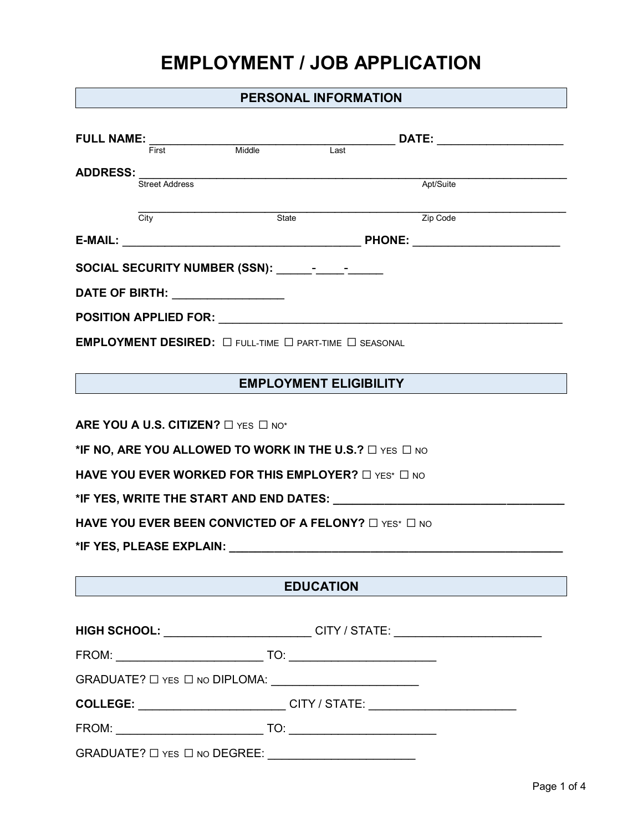# **EMPLOYMENT / JOB APPLICATION**

## **PERSONAL INFORMATION**

| <b>FULL NAME:</b>                                                                                               |                                                                                  |                                                                                  |  |  |  |
|-----------------------------------------------------------------------------------------------------------------|----------------------------------------------------------------------------------|----------------------------------------------------------------------------------|--|--|--|
| First                                                                                                           | Middle<br>$\overline{Last}$                                                      |                                                                                  |  |  |  |
| <b>ADDRESS:</b><br>Street Address                                                                               |                                                                                  | Apt/Suite                                                                        |  |  |  |
|                                                                                                                 |                                                                                  |                                                                                  |  |  |  |
| City                                                                                                            | State                                                                            | Zip Code                                                                         |  |  |  |
|                                                                                                                 |                                                                                  |                                                                                  |  |  |  |
| SOCIAL SECURITY NUMBER (SSN): _________________                                                                 |                                                                                  |                                                                                  |  |  |  |
| DATE OF BIRTH: ___________________                                                                              |                                                                                  |                                                                                  |  |  |  |
|                                                                                                                 |                                                                                  |                                                                                  |  |  |  |
| EMPLOYMENT DESIRED: $\Box$ full-time $\Box$ part-time $\Box$ seasonal                                           |                                                                                  |                                                                                  |  |  |  |
|                                                                                                                 |                                                                                  |                                                                                  |  |  |  |
|                                                                                                                 | <b>EMPLOYMENT ELIGIBILITY</b>                                                    |                                                                                  |  |  |  |
|                                                                                                                 |                                                                                  |                                                                                  |  |  |  |
| ARE YOU A U.S. CITIZEN? $\Box$ YES $\Box$ NO*                                                                   |                                                                                  |                                                                                  |  |  |  |
| *IF NO, ARE YOU ALLOWED TO WORK IN THE U.S.? $\square$ YES $\square$ NO                                         |                                                                                  |                                                                                  |  |  |  |
| HAVE YOU EVER WORKED FOR THIS EMPLOYER? $\square$ YES* $\square$ NO                                             |                                                                                  |                                                                                  |  |  |  |
|                                                                                                                 |                                                                                  |                                                                                  |  |  |  |
| HAVE YOU EVER BEEN CONVICTED OF A FELONY? $\Box$ YES* $\Box$ NO                                                 |                                                                                  |                                                                                  |  |  |  |
| *IF YES, PLEASE EXPLAIN: THE MANUSCRIPT OF THE MANUSCRIPT OF THE MANUSCRIPT OF THE MANUSCRIPT OF THE MANUSCRIPT |                                                                                  |                                                                                  |  |  |  |
|                                                                                                                 |                                                                                  |                                                                                  |  |  |  |
|                                                                                                                 | <b>EDUCATION</b>                                                                 |                                                                                  |  |  |  |
|                                                                                                                 |                                                                                  |                                                                                  |  |  |  |
|                                                                                                                 |                                                                                  | HIGH SCHOOL: _________________________CITY / STATE: ____________________________ |  |  |  |
|                                                                                                                 |                                                                                  |                                                                                  |  |  |  |
|                                                                                                                 |                                                                                  |                                                                                  |  |  |  |
|                                                                                                                 | COLLEGE: _____________________________CITY / STATE: ____________________________ |                                                                                  |  |  |  |
|                                                                                                                 |                                                                                  |                                                                                  |  |  |  |
|                                                                                                                 |                                                                                  |                                                                                  |  |  |  |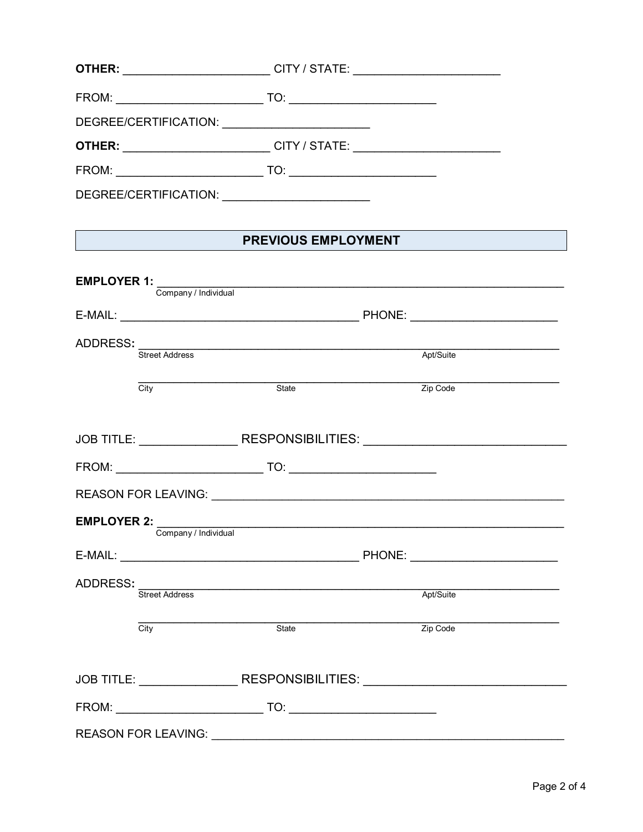| <b>OTHER:</b><br><u> 1989 - Johann John Stoff, deutscher Stoffen und der Stoffen und der Stoffen und der Stoffen und der Stoffen un</u> |                                                                                                                                                                                                                                                                                                                                                                                                                                                                                                                    | CITY / STATE: __________________________ |  |  |
|-----------------------------------------------------------------------------------------------------------------------------------------|--------------------------------------------------------------------------------------------------------------------------------------------------------------------------------------------------------------------------------------------------------------------------------------------------------------------------------------------------------------------------------------------------------------------------------------------------------------------------------------------------------------------|------------------------------------------|--|--|
| FROM: ____________________________                                                                                                      | $\begin{tabular}{ c c c c } \hline \text{TO:} & \text{\textcolor{red}{\textbf{10}}}& \text{\textcolor{red}{\textbf{10}}}& \text{\textcolor{red}{\textbf{10}}}& \text{\textcolor{red}{\textbf{10}}}& \text{\textcolor{red}{\textbf{10}}}& \text{\textcolor{red}{\textbf{10}}}& \text{\textcolor{red}{\textbf{10}}}& \text{\textcolor{red}{\textbf{10}}}& \text{\textcolor{red}{\textbf{10}}}& \text{\textcolor{red}{\textbf{10}}}& \text{\textcolor{red}{\textbf{10}}}& \text{\textcolor{red}{\textbf{10}}}& \text$ |                                          |  |  |
|                                                                                                                                         |                                                                                                                                                                                                                                                                                                                                                                                                                                                                                                                    |                                          |  |  |
| <b>OTHER: ______________________________CITY / STATE: ____________________________</b>                                                  |                                                                                                                                                                                                                                                                                                                                                                                                                                                                                                                    |                                          |  |  |
|                                                                                                                                         | $\begin{tabular}{c} \hline \text{TO:} \end{tabular}$                                                                                                                                                                                                                                                                                                                                                                                                                                                               |                                          |  |  |
|                                                                                                                                         |                                                                                                                                                                                                                                                                                                                                                                                                                                                                                                                    |                                          |  |  |
|                                                                                                                                         |                                                                                                                                                                                                                                                                                                                                                                                                                                                                                                                    |                                          |  |  |
| <b>PREVIOUS EMPLOYMENT</b>                                                                                                              |                                                                                                                                                                                                                                                                                                                                                                                                                                                                                                                    |                                          |  |  |
|                                                                                                                                         |                                                                                                                                                                                                                                                                                                                                                                                                                                                                                                                    |                                          |  |  |
| <b>EMPLOYER 1:</b><br>Company / Individual                                                                                              |                                                                                                                                                                                                                                                                                                                                                                                                                                                                                                                    |                                          |  |  |

|                            | ADDRESS: Street Address                               | Apt/Suite                                                                        |  |
|----------------------------|-------------------------------------------------------|----------------------------------------------------------------------------------|--|
| City                       | State                                                 | Zip Code                                                                         |  |
|                            |                                                       |                                                                                  |  |
|                            |                                                       | JOB TITLE: _____________________RESPONSIBILITIES: ______________________________ |  |
|                            |                                                       |                                                                                  |  |
|                            |                                                       |                                                                                  |  |
|                            | EMPLOYER 2: Company / Individual Company / Individual |                                                                                  |  |
|                            |                                                       |                                                                                  |  |
| <b>Street Address</b>      |                                                       | Apt/Suite                                                                        |  |
| City                       | State                                                 | Zip Code                                                                         |  |
|                            |                                                       | JOB TITLE: ______________________RESPONSIBILITIES: _____________________________ |  |
|                            |                                                       |                                                                                  |  |
| <b>REASON FOR LEAVING:</b> |                                                       |                                                                                  |  |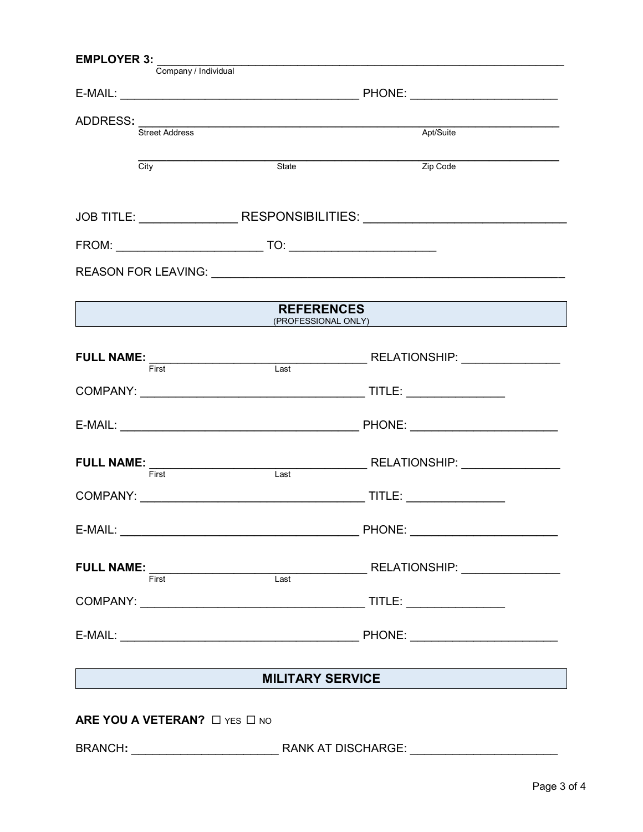| <b>EMPLOYER 3:</b><br>Company / Individual |                            |                                                                                                                                                                                                                                                                                                                                                                                                                                                                                                                                                                                                                           |  |  |
|--------------------------------------------|----------------------------|---------------------------------------------------------------------------------------------------------------------------------------------------------------------------------------------------------------------------------------------------------------------------------------------------------------------------------------------------------------------------------------------------------------------------------------------------------------------------------------------------------------------------------------------------------------------------------------------------------------------------|--|--|
|                                            |                            |                                                                                                                                                                                                                                                                                                                                                                                                                                                                                                                                                                                                                           |  |  |
|                                            | ADDRESS: Street Address    | Apt/Suite                                                                                                                                                                                                                                                                                                                                                                                                                                                                                                                                                                                                                 |  |  |
|                                            |                            |                                                                                                                                                                                                                                                                                                                                                                                                                                                                                                                                                                                                                           |  |  |
| $\overline{City}$                          | State                      | Zip Code                                                                                                                                                                                                                                                                                                                                                                                                                                                                                                                                                                                                                  |  |  |
|                                            |                            | JOB TITLE: _____________________RESPONSIBILITIES: ______________________________                                                                                                                                                                                                                                                                                                                                                                                                                                                                                                                                          |  |  |
|                                            |                            |                                                                                                                                                                                                                                                                                                                                                                                                                                                                                                                                                                                                                           |  |  |
|                                            |                            |                                                                                                                                                                                                                                                                                                                                                                                                                                                                                                                                                                                                                           |  |  |
|                                            | <b>REFERENCES</b>          | <b>Example 2018 19:30 CONVERT AND A REPORT OF A REPORT OF A REPORT OF A REPORT OF A REPORT OF A REPORT OF A REPORT OF A REPORT OF A REPORT OF A REPORT OF A REPORT OF A REPORT OF A REPORT OF A REPORT OF A REPORT OF A REPORT O</b>                                                                                                                                                                                                                                                                                                                                                                                      |  |  |
|                                            |                            |                                                                                                                                                                                                                                                                                                                                                                                                                                                                                                                                                                                                                           |  |  |
|                                            |                            |                                                                                                                                                                                                                                                                                                                                                                                                                                                                                                                                                                                                                           |  |  |
|                                            |                            |                                                                                                                                                                                                                                                                                                                                                                                                                                                                                                                                                                                                                           |  |  |
|                                            |                            |                                                                                                                                                                                                                                                                                                                                                                                                                                                                                                                                                                                                                           |  |  |
|                                            |                            |                                                                                                                                                                                                                                                                                                                                                                                                                                                                                                                                                                                                                           |  |  |
|                                            |                            |                                                                                                                                                                                                                                                                                                                                                                                                                                                                                                                                                                                                                           |  |  |
|                                            |                            | $\textbf{FULL NAME: } \overbrace{\textsf{First}} \textcolor{red}{ \textbf{First}} \textcolor{red}{ \textbf{First}} \textcolor{red}{ \textbf{Last}} \textcolor{red}{ \textbf{RELATION SHIP:}} \textcolor{red}{ \textbf{[First]} \textcolor{red}{ \textbf{First}} \textcolor{red}{ \textbf{First}} \textcolor{red}{ \textbf{First}} \textcolor{red}{ \textbf{First}} \textcolor{red}{ \textbf{First}} \textcolor{red}{ \textbf{First}} \textcolor{red}{ \textbf{First}} \textcolor{red}{ \textbf{First}} \textcolor{red}{ \textbf{First}} \textcolor{red}{ \textbf{First}} \textcolor{red}{ \textbf{First}} \textcolor{red$ |  |  |
|                                            |                            |                                                                                                                                                                                                                                                                                                                                                                                                                                                                                                                                                                                                                           |  |  |
|                                            |                            |                                                                                                                                                                                                                                                                                                                                                                                                                                                                                                                                                                                                                           |  |  |
|                                            | <b>MILITARY SERVICE</b>    |                                                                                                                                                                                                                                                                                                                                                                                                                                                                                                                                                                                                                           |  |  |
| ARE YOU A VETERAN? O YES O NO              |                            |                                                                                                                                                                                                                                                                                                                                                                                                                                                                                                                                                                                                                           |  |  |
|                                            | BRANCH: RANK AT DISCHARGE: |                                                                                                                                                                                                                                                                                                                                                                                                                                                                                                                                                                                                                           |  |  |